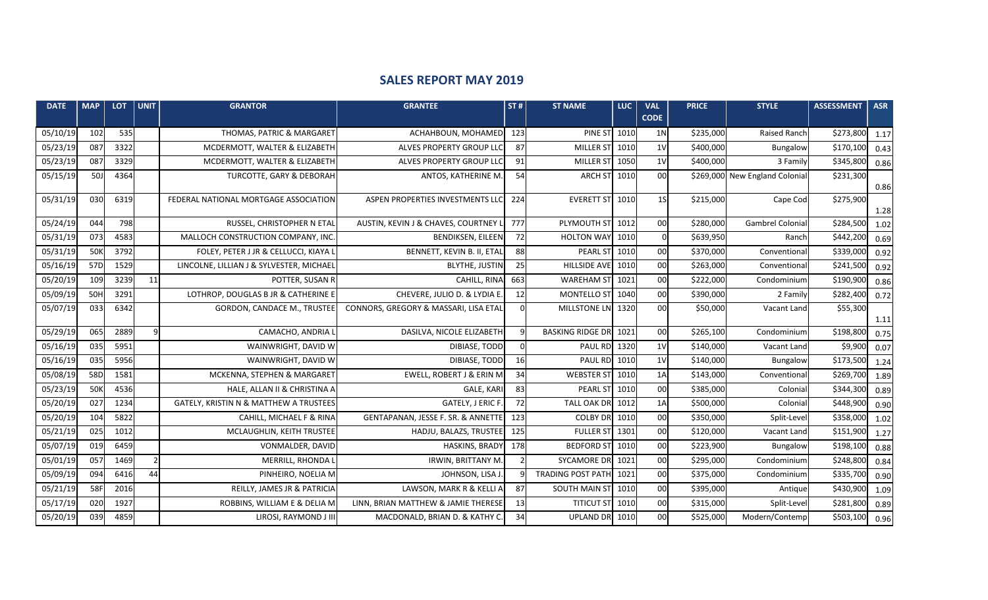## **SALES REPORT MAY 2019**

| <b>DATE</b> | <b>MAP</b> | <b>LOT</b> | <b>UNIT</b>    | <b>GRANTOR</b>                           | <b>GRANTEE</b>                        | ST#      | <b>ST NAME</b>           | <b>LUC</b> | <b>VAL</b><br><b>CODE</b> | <b>PRICE</b> | <b>STYLE</b>                   | <b>ASSESSMENT</b> | <b>ASR</b> |
|-------------|------------|------------|----------------|------------------------------------------|---------------------------------------|----------|--------------------------|------------|---------------------------|--------------|--------------------------------|-------------------|------------|
| 05/10/19    | 102        | 535        |                | THOMAS, PATRIC & MARGARET                | ACHAHBOUN, MOHAMED                    | 123      | <b>PINE ST</b>           | 1010       | 1 <sub>N</sub>            | \$235,000    | <b>Raised Ranch</b>            | \$273,800         | 1.17       |
| 05/23/19    | 087        | 3322       |                | MCDERMOTT, WALTER & ELIZABETH            | ALVES PROPERTY GROUP LLC              | 87       | <b>MILLER ST</b>         | 1010       | 1 <sub>V</sub>            | \$400,000    | Bungalow                       | \$170,100         | 0.43       |
| 05/23/19    | 087        | 3329       |                | MCDERMOTT, WALTER & ELIZABETH            | ALVES PROPERTY GROUP LLC              | 91       | MILLER ST                | 1050       | 1 <sub>V</sub>            | \$400,000    | 3 Family                       | \$345,800         | 0.86       |
| 05/15/19    | <b>50J</b> | 4364       |                | TURCOTTE, GARY & DEBORAH                 | ANTOS, KATHERINE M.                   | 54       | <b>ARCH ST</b>           | 1010       | 00                        |              | \$269,000 New England Colonial | \$231,300         | 0.86       |
| 05/31/19    | 030        | 6319       |                | FEDERAL NATIONAL MORTGAGE ASSOCIATION    | ASPEN PROPERTIES INVESTMENTS LLC      | 224      | <b>EVERETT ST</b>        | 1010       | 1 <sub>S</sub>            | \$215,000    | Cape Cod                       | \$275,900         | 1.28       |
| 05/24/19    | 044        | 798        |                | RUSSEL, CHRISTOPHER N ETAL               | AUSTIN, KEVIN J & CHAVES, COURTNEY L  | 777      | PLYMOUTH ST              | 1012       | 00                        | \$280,000    | Gambrel Colonia                | \$284,500         | 1.02       |
| 05/31/19    | 073        | 4583       |                | MALLOCH CONSTRUCTION COMPANY, INC        | <b>BENDIKSEN, EILEEN</b>              | 72       | <b>HOLTON WAY</b>        | 1010       | $\Omega$                  | \$639,950    | Ranch                          | \$442,200         | 0.69       |
| 05/31/19    | 50K        | 3792       |                | FOLEY, PETER J JR & CELLUCCI, KIAYA L    | BENNETT, KEVIN B. II, ETAL            | 88       | <b>PEARL ST</b>          | 1010       | 00                        | \$370,000    | Conventional                   | \$339,000         | 0.92       |
| 05/16/19    | 57D        | 1529       |                | LINCOLNE, LILLIAN J & SYLVESTER, MICHAEL | <b>BLYTHE, JUSTIN</b>                 | 25       | <b>HILLSIDE AVE</b>      | 1010       | 00                        | \$263,000    | Conventional                   | \$241,500         | 0.92       |
| 05/20/19    | 109        | 3239       | 11             | POTTER, SUSAN R                          | CAHILL, RINA                          | 663      | <b>WAREHAM ST</b>        | 1021       | 00                        | \$222,000    | Condominium                    | \$190,900         | 0.86       |
| 05/09/19    | 50H        | 3291       |                | LOTHROP, DOUGLAS B JR & CATHERINE E      | CHEVERE, JULIO D. & LYDIA E.          | 12       | MONTELLO ST              | 1040       | 00                        | \$390,000    | 2 Family                       | \$282,400         | 0.72       |
| 05/07/19    | 033        | 6342       |                | <b>GORDON, CANDACE M., TRUSTEE</b>       | CONNORS, GREGORY & MASSARI, LISA ETAL | Ωl       | MILLSTONE LN             | 1320       | 00                        | \$50,000     | Vacant Land                    | \$55,300          | 1.11       |
| 05/29/19    | 065        | 2889       | 9              | CAMACHO, ANDRIA L                        | DASILVA, NICOLE ELIZABETH             | 9        | <b>BASKING RIDGE DR</b>  | 1021       | 00                        | \$265,100    | Condominium                    | \$198,800         | 0.75       |
| 05/16/19    | 035        | 5951       |                | WAINWRIGHT, DAVID W                      | DIBIASE, TODD                         | $\Omega$ | <b>PAUL RD</b>           | 1320       | 1 <sub>V</sub>            | \$140,000    | Vacant Land                    | \$9,900           | 0.07       |
| 05/16/19    | 035        | 5956       |                | WAINWRIGHT, DAVID W                      | DIBIASE, TODD                         | 16       | <b>PAUL RD</b>           | 1010       | 1 <sub>V</sub>            | \$140,000    | Bungalow                       | \$173,500         | 1.24       |
| 05/08/19    | 58D        | 1581       |                | MCKENNA, STEPHEN & MARGARET              | <b>EWELL, ROBERT J &amp; ERIN M</b>   | 34       | <b>WEBSTER ST</b>        | 1010       | 1A                        | \$143,000    | Conventional                   | \$269,700         | 1.89       |
| 05/23/19    | 50K        | 4536       |                | HALE, ALLAN II & CHRISTINA A             | <b>GALE, KARI</b>                     | 83       | PEARL ST                 | 1010       | 00                        | \$385,000    | Colonial                       | \$344,300         | 0.89       |
| 05/20/19    | 027        | 1234       |                | GATELY, KRISTIN N & MATTHEW A TRUSTEES   | GATELY, J ERIC F.                     | 72       | <b>TALL OAK DR</b>       | 1012       | 1A                        | \$500,000    | Colonial                       | \$448,900         | 0.90       |
| 05/20/19    | 104        | 5822       |                | CAHILL, MICHAEL F & RINA                 | GENTAPANAN, JESSE F. SR. & ANNETTE    | 123      | <b>COLBY DR</b>          | 1010       | 00                        | \$350,000    | Split-Level                    | \$358,000         | 1.02       |
| 05/21/19    | 025        | 1012       |                | MCLAUGHLIN, KEITH TRUSTEE                | HADJU, BALAZS, TRUSTEE                | 125      | <b>FULLER ST</b>         | 1301       | 00                        | \$120,000    | Vacant Land                    | \$151,900         | 1.27       |
| 05/07/19    | 019        | 6459       |                | VONMALDER, DAVID                         | <b>HASKINS, BRADY</b>                 | 178      | <b>BEDFORD ST</b>        | 1010       | 00                        | \$223,900    | Bungalow                       | \$198,100         | 0.88       |
| 05/01/19    | 057        | 1469       | $\overline{2}$ | MERRILL, RHONDA L                        | IRWIN, BRITTANY M.                    |          | <b>SYCAMORE DR</b>       | 1021       | 00                        | \$295,000    | Condominium                    | \$248,800         | 0.84       |
| 05/09/19    | 094        | 6416       | 44             | PINHEIRO, NOELIA M                       | JOHNSON, LISA J                       |          | <b>TRADING POST PATH</b> | 1021       | 00                        | \$375,000    | Condominium                    | \$335,700         | 0.90       |
| 05/21/19    | 58F        | 2016       |                | REILLY, JAMES JR & PATRICIA              | LAWSON, MARK R & KELLI A              | 87       | SOUTH MAIN ST            | 1010       | 00                        | \$395,000    | Antique                        | \$430,900         | 1.09       |
| 05/17/19    | 020        | 1927       |                | ROBBINS, WILLIAM E & DELIA M             | LINN, BRIAN MATTHEW & JAMIE THERESE   | 13       | <b>TITICUT ST</b>        | 1010       | 00                        | \$315,000    | Split-Level                    | \$281,800         | 0.89       |
| 05/20/19    | 039        | 4859       |                | LIROSI, RAYMOND J III                    | MACDONALD, BRIAN D. & KATHY C.        | 34       | <b>UPLAND DR</b>         | 1010       | 00                        | \$525,000    | Modern/Contemp                 | \$503,100         | 0.96       |